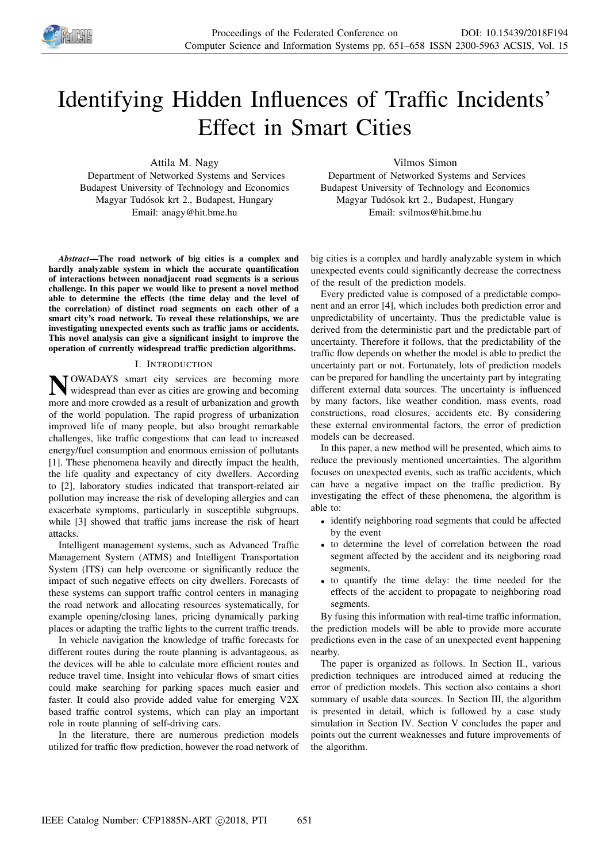

# Identifying Hidden Influences of Traffic Incidents' Effect in Smart Cities

Attila M. Nagy

Department of Networked Systems and Services Budapest University of Technology and Economics Magyar Tudósok krt 2., Budapest, Hungary Email: anagy@hit.bme.hu

*Abstract*—The road network of big cities is a complex and hardly analyzable system in which the accurate quantification of interactions between nonadjacent road segments is a serious challenge. In this paper we would like to present a novel method able to determine the effects (the time delay and the level of the correlation) of distinct road segments on each other of a smart city's road network. To reveal these relationships, we are investigating unexpected events such as traffic jams or accidents. This novel analysis can give a significant insight to improve the operation of currently widespread traffic prediction algorithms.

# I. INTRODUCTION

**N** OWADAYS smart city services are becoming more widespread than ever as cities are growing and becoming **TOWADAYS** smart city services are becoming more more and more crowded as a result of urbanization and growth of the world population. The rapid progress of urbanization improved life of many people, but also brought remarkable challenges, like traffic congestions that can lead to increased energy/fuel consumption and enormous emission of pollutants [1]. These phenomena heavily and directly impact the health, the life quality and expectancy of city dwellers. According to [2], laboratory studies indicated that transport-related air pollution may increase the risk of developing allergies and can exacerbate symptoms, particularly in susceptible subgroups, while [3] showed that traffic jams increase the risk of heart attacks.

Intelligent management systems, such as Advanced Traffic Management System (ATMS) and Intelligent Transportation System (ITS) can help overcome or significantly reduce the impact of such negative effects on city dwellers. Forecasts of these systems can support traffic control centers in managing the road network and allocating resources systematically, for example opening/closing lanes, pricing dynamically parking places or adapting the traffic lights to the current traffic trends.

In vehicle navigation the knowledge of traffic forecasts for different routes during the route planning is advantageous, as the devices will be able to calculate more efficient routes and reduce travel time. Insight into vehicular flows of smart cities could make searching for parking spaces much easier and faster. It could also provide added value for emerging V2X based traffic control systems, which can play an important role in route planning of self-driving cars.

In the literature, there are numerous prediction models utilized for traffic flow prediction, however the road network of Vilmos Simon

Department of Networked Systems and Services Budapest University of Technology and Economics Magyar Tudósok krt 2., Budapest, Hungary Email: svilmos@hit.bme.hu

big cities is a complex and hardly analyzable system in which unexpected events could significantly decrease the correctness of the result of the prediction models.

Every predicted value is composed of a predictable component and an error [4], which includes both prediction error and unpredictability of uncertainty. Thus the predictable value is derived from the deterministic part and the predictable part of uncertainty. Therefore it follows, that the predictability of the traffic flow depends on whether the model is able to predict the uncertainty part or not. Fortunately, lots of prediction models can be prepared for handling the uncertainty part by integrating different external data sources. The uncertainty is influenced by many factors, like weather condition, mass events, road constructions, road closures, accidents etc. By considering these external environmental factors, the error of prediction models can be decreased.

In this paper, a new method will be presented, which aims to reduce the previously mentioned uncertainties. The algorithm focuses on unexpected events, such as traffic accidents, which can have a negative impact on the traffic prediction. By investigating the effect of these phenomena, the algorithm is able to:

- identify neighboring road segments that could be affected by the event
- to determine the level of correlation between the road segment affected by the accident and its neigboring road segments.
- to quantify the time delay: the time needed for the effects of the accident to propagate to neighboring road segments.

By fusing this information with real-time traffic information, the prediction models will be able to provide more accurate predictions even in the case of an unexpected event happening nearby.

The paper is organized as follows. In Section II., various prediction techniques are introduced aimed at reducing the error of prediction models. This section also contains a short summary of usable data sources. In Section III, the algorithm is presented in detail, which is followed by a case study simulation in Section IV. Section V concludes the paper and points out the current weaknesses and future improvements of the algorithm.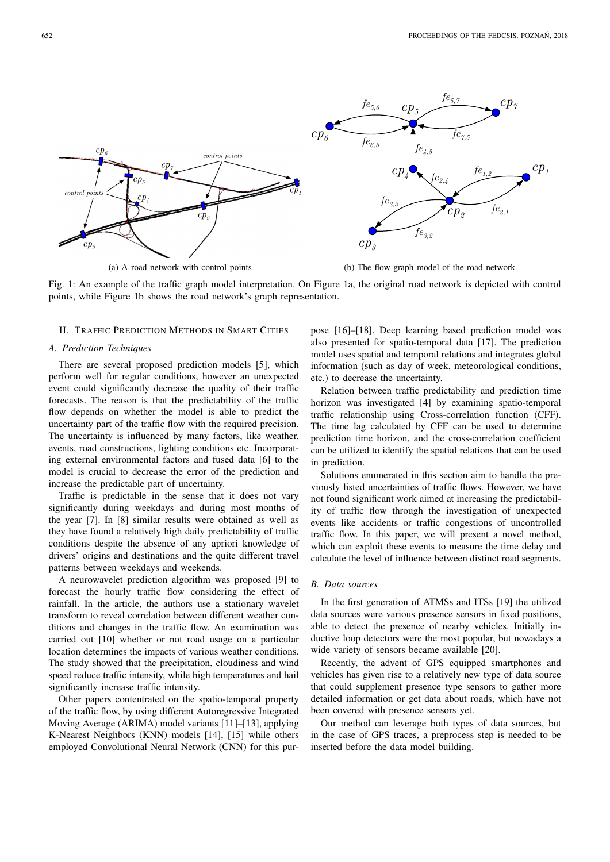

(a) A road network with control points



(b) The flow graph model of the road network

Fig. 1: An example of the traffic graph model interpretation. On Figure 1a, the original road network is depicted with control points, while Figure 1b shows the road network's graph representation.

## II. TRAFFIC PREDICTION METHODS IN SMART CITIES

#### *A. Prediction Techniques*

There are several proposed prediction models [5], which perform well for regular conditions, however an unexpected event could significantly decrease the quality of their traffic forecasts. The reason is that the predictability of the traffic flow depends on whether the model is able to predict the uncertainty part of the traffic flow with the required precision. The uncertainty is influenced by many factors, like weather, events, road constructions, lighting conditions etc. Incorporating external environmental factors and fused data [6] to the model is crucial to decrease the error of the prediction and increase the predictable part of uncertainty.

Traffic is predictable in the sense that it does not vary significantly during weekdays and during most months of the year [7]. In [8] similar results were obtained as well as they have found a relatively high daily predictability of traffic conditions despite the absence of any apriori knowledge of drivers' origins and destinations and the quite different travel patterns between weekdays and weekends.

A neurowavelet prediction algorithm was proposed [9] to forecast the hourly traffic flow considering the effect of rainfall. In the article, the authors use a stationary wavelet transform to reveal correlation between different weather conditions and changes in the traffic flow. An examination was carried out [10] whether or not road usage on a particular location determines the impacts of various weather conditions. The study showed that the precipitation, cloudiness and wind speed reduce traffic intensity, while high temperatures and hail significantly increase traffic intensity.

Other papers contentrated on the spatio-temporal property of the traffic flow, by using different Autoregressive Integrated Moving Average (ARIMA) model variants [11]–[13], applying K-Nearest Neighbors (KNN) models [14], [15] while others employed Convolutional Neural Network (CNN) for this purpose [16]–[18]. Deep learning based prediction model was also presented for spatio-temporal data [17]. The prediction model uses spatial and temporal relations and integrates global information (such as day of week, meteorological conditions, etc.) to decrease the uncertainty.

Relation between traffic predictability and prediction time horizon was investigated [4] by examining spatio-temporal traffic relationship using Cross-correlation function (CFF). The time lag calculated by CFF can be used to determine prediction time horizon, and the cross-correlation coefficient can be utilized to identify the spatial relations that can be used in prediction.

Solutions enumerated in this section aim to handle the previously listed uncertainties of traffic flows. However, we have not found significant work aimed at increasing the predictability of traffic flow through the investigation of unexpected events like accidents or traffic congestions of uncontrolled traffic flow. In this paper, we will present a novel method, which can exploit these events to measure the time delay and calculate the level of influence between distinct road segments.

# *B. Data sources*

In the first generation of ATMSs and ITSs [19] the utilized data sources were various presence sensors in fixed positions, able to detect the presence of nearby vehicles. Initially inductive loop detectors were the most popular, but nowadays a wide variety of sensors became available [20].

Recently, the advent of GPS equipped smartphones and vehicles has given rise to a relatively new type of data source that could supplement presence type sensors to gather more detailed information or get data about roads, which have not been covered with presence sensors yet.

Our method can leverage both types of data sources, but in the case of GPS traces, a preprocess step is needed to be inserted before the data model building.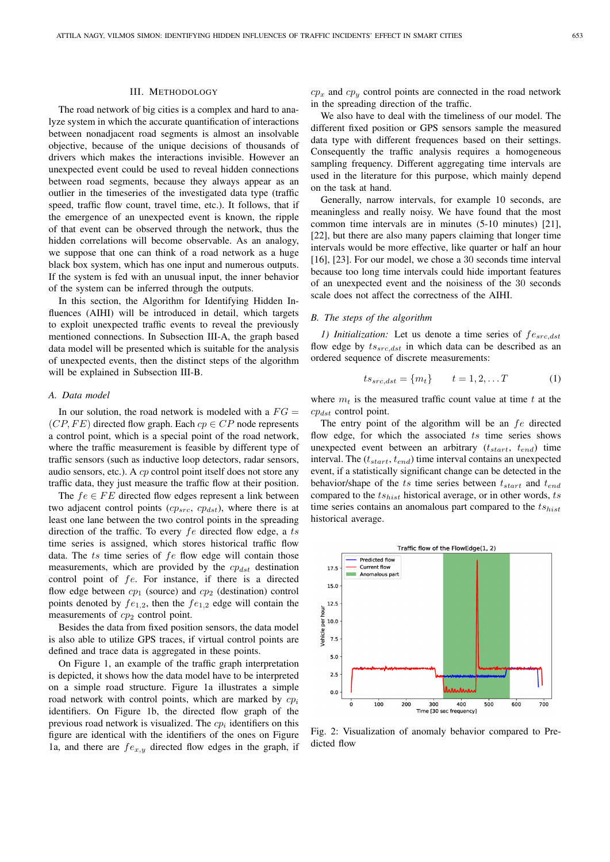#### III. METHODOLOGY

The road network of big cities is a complex and hard to analyze system in which the accurate quantification of interactions between nonadjacent road segments is almost an insolvable objective, because of the unique decisions of thousands of drivers which makes the interactions invisible. However an unexpected event could be used to reveal hidden connections between road segments, because they always appear as an outlier in the timeseries of the investigated data type (traffic speed, traffic flow count, travel time, etc.). It follows, that if the emergence of an unexpected event is known, the ripple of that event can be observed through the network, thus the hidden correlations will become observable. As an analogy, we suppose that one can think of a road network as a huge black box system, which has one input and numerous outputs. If the system is fed with an unusual input, the inner behavior of the system can be inferred through the outputs.

In this section, the Algorithm for Identifying Hidden Influences (AIHI) will be introduced in detail, which targets to exploit unexpected traffic events to reveal the previously mentioned connections. In Subsection III-A, the graph based data model will be presented which is suitable for the analysis of unexpected events, then the distinct steps of the algorithm will be explained in Subsection III-B.

## *A. Data model*

In our solution, the road network is modeled with a  $FG =$  $(CP, FE)$  directed flow graph. Each  $cp \in CP$  node represents a control point, which is a special point of the road network, where the traffic measurement is feasible by different type of traffic sensors (such as inductive loop detectors, radar sensors, audio sensors, etc.). A cp control point itself does not store any traffic data, they just measure the traffic flow at their position.

The  $fe \in FE$  directed flow edges represent a link between two adjacent control points  $(cp_{src}, cp_{dst})$ , where there is at least one lane between the two control points in the spreading direction of the traffic. To every  $fe$  directed flow edge, a ts time series is assigned, which stores historical traffic flow data. The  $ts$  time series of  $fe$  flow edge will contain those measurements, which are provided by the  $cp_{dst}$  destination control point of fe. For instance, if there is a directed flow edge between  $cp_1$  (source) and  $cp_2$  (destination) control points denoted by  $fe_{1,2}$ , then the  $fe_{1,2}$  edge will contain the measurements of  $cp<sub>2</sub>$  control point.

Besides the data from fixed position sensors, the data model is also able to utilize GPS traces, if virtual control points are defined and trace data is aggregated in these points.

On Figure 1, an example of the traffic graph interpretation is depicted, it shows how the data model have to be interpreted on a simple road structure. Figure 1a illustrates a simple road network with control points, which are marked by  $cp<sub>i</sub>$ identifiers. On Figure 1b, the directed flow graph of the previous road network is visualized. The  $cp<sub>i</sub>$  identifiers on this figure are identical with the identifiers of the ones on Figure 1a, and there are  $fe_{x,y}$  directed flow edges in the graph, if  $cp_x$  and  $cp_y$  control points are connected in the road network in the spreading direction of the traffic.

We also have to deal with the timeliness of our model. The different fixed position or GPS sensors sample the measured data type with different frequences based on their settings. Consequently the traffic analysis requires a homogeneous sampling frequency. Different aggregating time intervals are used in the literature for this purpose, which mainly depend on the task at hand.

Generally, narrow intervals, for example 10 seconds, are meaningless and really noisy. We have found that the most common time intervals are in minutes (5-10 minutes) [21], [22], but there are also many papers claiming that longer time intervals would be more effective, like quarter or half an hour [16], [23]. For our model, we chose a 30 seconds time interval because too long time intervals could hide important features of an unexpected event and the noisiness of the 30 seconds scale does not affect the correctness of the AIHI.

## *B. The steps of the algorithm*

*1) Initialization:* Let us denote a time series of  $f_{\text{csc},dst}$ flow edge by  $ts_{src,dst}$  in which data can be described as an ordered sequence of discrete measurements:

$$
ts_{src,dst} = \{m_t\} \qquad t = 1, 2, \dots T \tag{1}
$$

where  $m_t$  is the measured traffic count value at time t at the  $cp_{dst}$  control point.

The entry point of the algorithm will be an  $fe$  directed flow edge, for which the associated  $ts$  time series shows unexpected event between an arbitrary  $(t<sub>start</sub>, t<sub>end</sub>)$  time interval. The  $(t_{start}, t_{end})$  time interval contains an unexpected event, if a statistically significant change can be detected in the behavior/shape of the ts time series between  $t_{start}$  and  $t_{end}$ compared to the  $ts_{hist}$  historical average, or in other words, ts time series contains an anomalous part compared to the  $ts_{hist}$ historical average.



Fig. 2: Visualization of anomaly behavior compared to Predicted flow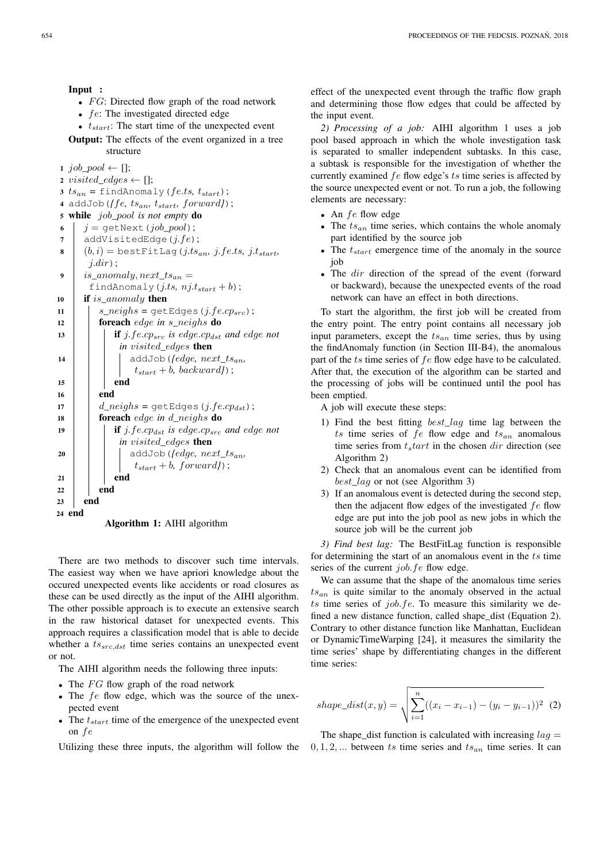Input :

- $FG$ : Directed flow graph of the road network
- $fe$ : The investigated directed edge
- $t_{start}$ : The start time of the unexpected event
- Output: The effects of the event organized in a tree structure

1 job\_pool  $\leftarrow$  [];

- $\emph{z visited\_edges} \leftarrow []$  ;
- $3 ts_{an} = \text{findAmount}(f.ts, t_{start});$
- <sup>4</sup> addJob(*{*fe*,* tsan*,* tstart*,* forward*}*);
- <sup>5</sup> while job*\_*pool *is not empty* do
- 6  $j = getNext(job\_pool);$
- 7 | addVisitedEdge( $j.fe$ );
- 8  $(b, i)$  = bestFitLag(j.ts<sub>an</sub>, j.fe.ts, j.t<sub>start</sub>,  $j.dir)$ ;
- 9 is anomaly, next  $ts_{an} =$

```
findAnomaly(j.ts, nj.t<sub>start</sub> + b);
```




Algorithm 1: AIHI algorithm

There are two methods to discover such time intervals. The easiest way when we have apriori knowledge about the occured unexpected events like accidents or road closures as these can be used directly as the input of the AIHI algorithm. The other possible approach is to execute an extensive search in the raw historical dataset for unexpected events. This approach requires a classification model that is able to decide whether a  $ts_{src,dst}$  time series contains an unexpected event or not.

The AIHI algorithm needs the following three inputs:

- The  $FG$  flow graph of the road network
- The fe flow edge, which was the source of the unexpected event
- The  $t_{start}$  time of the emergence of the unexpected event on fe

Utilizing these three inputs, the algorithm will follow the

effect of the unexpected event through the traffic flow graph and determining those flow edges that could be affected by the input event.

*2) Processing of a job:* AIHI algorithm 1 uses a job pool based approach in which the whole investigation task is separated to smaller independent subtasks. In this case, a subtask is responsible for the investigation of whether the currently examined  $fe$  flow edge's  $ts$  time series is affected by the source unexpected event or not. To run a job, the following elements are necessary:

- An  $fe$  flow edge
- The  $ts_{an}$  time series, which contains the whole anomaly part identified by the source job
- The  $t_{start}$  emergence time of the anomaly in the source job
- The dir direction of the spread of the event (forward or backward), because the unexpected events of the road network can have an effect in both directions.

To start the algorithm, the first job will be created from the entry point. The entry point contains all necessary job input parameters, except the  $ts_{an}$  time series, thus by using the findAnomaly function (in Section III-B4), the anomalous part of the  $ts$  time series of  $fe$  flow edge have to be calculated. After that, the execution of the algorithm can be started and the processing of jobs will be continued until the pool has been emptied.

A job will execute these steps:

- 1) Find the best fitting best\_lag time lag between the ts time series of  $fe$  flow edge and  $ts_{an}$  anomalous time series from  $t<sub>s</sub> tart$  in the chosen dir direction (see Algorithm 2)
- 2) Check that an anomalous event can be identified from best\_lag or not (see Algorithm 3)
- 3) If an anomalous event is detected during the second step, then the adjacent flow edges of the investigated  $fe$  flow edge are put into the job pool as new jobs in which the source job will be the current job

*3) Find best lag:* The BestFitLag function is responsible for determining the start of an anomalous event in the ts time series of the current *job.fe* flow edge.

We can assume that the shape of the anomalous time series  $ts_{an}$  is quite similar to the anomaly observed in the actual ts time series of  $job.fe$ . To measure this similarity we defined a new distance function, called shape\_dist (Equation 2). Contrary to other distance function like Manhattan, Euclidean or DynamicTimeWarping [24], it measures the similarity the time series' shape by differentiating changes in the different time series:

shape\\_dist(x, y) = 
$$
\sqrt{\sum_{i=1}^{n} ((x_i - x_{i-1}) - (y_i - y_{i-1}))^2}
$$
 (2)

The shape dist function is calculated with increasing  $laq =$  $0, 1, 2, \ldots$  between ts time series and  $ts_{an}$  time series. It can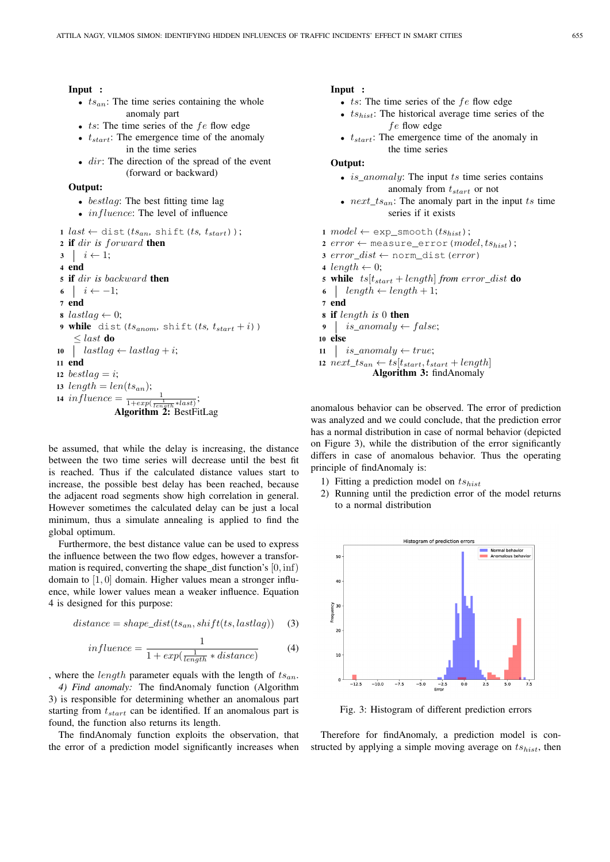# Input :

- $ts_{an}$ : The time series containing the whole anomaly part
- $ts:$  The time series of the  $fe$  flow edge
- $t_{start}$ : The emergence time of the anomaly in the time series
- $\bullet$  dir: The direction of the spread of the event (forward or backward)

# Output:

- bestlag: The best fitting time lag
- $influence$ : The level of influence
- $1$  *last*  $\leftarrow$  dist( $ts_{an}$ , shift( $ts$ ,  $t_{start}$ ));
- <sup>2</sup> if dir *is* forward then

 $3 \mid i \leftarrow 1;$ 4 end <sup>5</sup> if dir *is* backward then  $\begin{array}{c|c} \text{6} & i \leftarrow -1; \end{array}$ 7 end 8 lastlag  $\leftarrow$  0; 9 while dist( $ts_{anom}$ , shift( $ts$ ,  $t_{start} + i$ ))  $\langle$  last do 10 |  $lastlag \leftarrow lastlag + i;$ <sup>11</sup> end 12 bestlag  $=i$ ; 13  $length = len(ts_{an});$ 14 influence  $=\frac{1}{1+exp(\frac{1}{length}*last)};$ Algorithm 2: BestFitLag

be assumed, that while the delay is increasing, the distance between the two time series will decrease until the best fit is reached. Thus if the calculated distance values start to increase, the possible best delay has been reached, because the adjacent road segments show high correlation in general. However sometimes the calculated delay can be just a local minimum, thus a simulate annealing is applied to find the global optimum.

Furthermore, the best distance value can be used to express the influence between the two flow edges, however a transformation is required, converting the shape\_dist function's [0, inf) domain to [1, 0] domain. Higher values mean a stronger influence, while lower values mean a weaker influence. Equation 4 is designed for this purpose:

$$
distance = shape\_dist(ts_{an}, shift(ts, lastlag))
$$
 (3)

$$
influence = \frac{1}{1 + exp(\frac{1}{length} * distance)}\tag{4}
$$

, where the *length* parameter equals with the length of  $ts_{an}$ .

*4) Find anomaly:* The findAnomaly function (Algorithm 3) is responsible for determining whether an anomalous part starting from  $t_{start}$  can be identified. If an anomalous part is found, the function also returns its length.

The findAnomaly function exploits the observation, that the error of a prediction model significantly increases when

# Input :

- $ts:$  The time series of the  $fe$  flow edge
- $ts_{hist}$ : The historical average time series of the fe flow edge
- $t_{start}$ : The emergence time of the anomaly in the time series

# Output:

- *is\_anomaly:* The input ts time series contains anomaly from  $t_{start}$  or not
- $next\_ts_{an}$ : The anomaly part in the input ts time series if it exists

1 model  $\leftarrow$  exp\_smooth( $ts_{hist}$ );

2 error  $\leftarrow$  measure\_error (model,  $ts_{hist}$ );

- 3 error  $dist \leftarrow$  norm dist(error)
- 4 length  $\leftarrow$  0;
- 5 while  $ts[t<sub>start</sub> + length]$  *from error\_dist* **do**
- 6 | length  $\leftarrow$  length + 1;
- 7 end
- <sup>8</sup> if length *is* 0 then
- 9 is\_anomaly  $\leftarrow$  false;

10 else

11 | is\_anomaly  $\leftarrow true;$ 12  $next\_ts_{an} \leftarrow ts[t_{start}, t_{start} + length]$ 

```
Algorithm 3: findAnomaly
```
anomalous behavior can be observed. The error of prediction was analyzed and we could conclude, that the prediction error has a normal distribution in case of normal behavior (depicted on Figure 3), while the distribution of the error significantly differs in case of anomalous behavior. Thus the operating principle of findAnomaly is:

- 1) Fitting a prediction model on  $ts_{hist}$
- 2) Running until the prediction error of the model returns to a normal distribution



Fig. 3: Histogram of different prediction errors

Therefore for findAnomaly, a prediction model is constructed by applying a simple moving average on  $ts_{hist}$ , then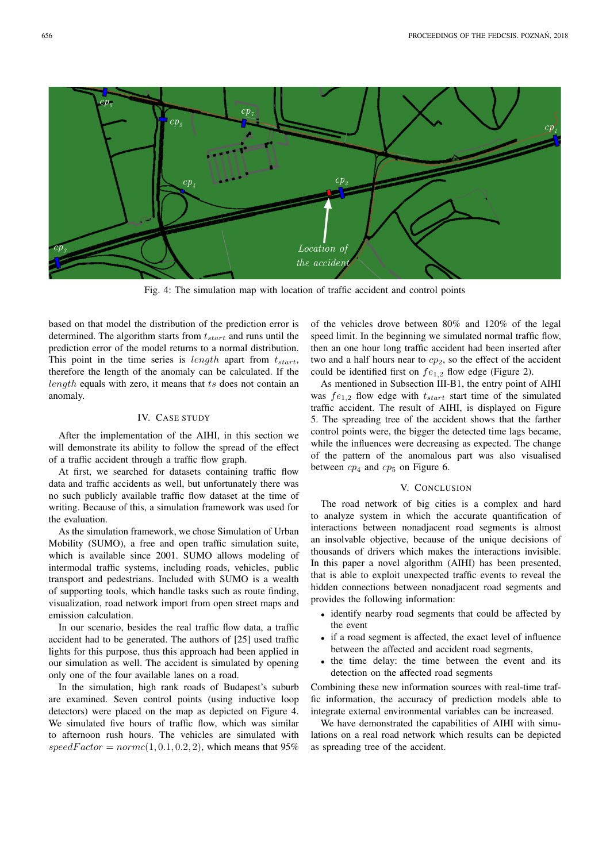

Fig. 4: The simulation map with location of traffic accident and control points

based on that model the distribution of the prediction error is determined. The algorithm starts from  $t_{start}$  and runs until the prediction error of the model returns to a normal distribution. This point in the time series is length apart from  $t_{start}$ , therefore the length of the anomaly can be calculated. If the length equals with zero, it means that ts does not contain an anomaly.

# IV. CASE STUDY

After the implementation of the AIHI, in this section we will demonstrate its ability to follow the spread of the effect of a traffic accident through a traffic flow graph.

At first, we searched for datasets containing traffic flow data and traffic accidents as well, but unfortunately there was no such publicly available traffic flow dataset at the time of writing. Because of this, a simulation framework was used for the evaluation.

As the simulation framework, we chose Simulation of Urban Mobility (SUMO), a free and open traffic simulation suite, which is available since 2001. SUMO allows modeling of intermodal traffic systems, including roads, vehicles, public transport and pedestrians. Included with SUMO is a wealth of supporting tools, which handle tasks such as route finding, visualization, road network import from open street maps and emission calculation.

In our scenario, besides the real traffic flow data, a traffic accident had to be generated. The authors of [25] used traffic lights for this purpose, thus this approach had been applied in our simulation as well. The accident is simulated by opening only one of the four available lanes on a road.

In the simulation, high rank roads of Budapest's suburb are examined. Seven control points (using inductive loop detectors) were placed on the map as depicted on Figure 4. We simulated five hours of traffic flow, which was similar to afternoon rush hours. The vehicles are simulated with  $speedFactor = normc(1, 0.1, 0.2, 2)$ , which means that 95% of the vehicles drove between 80% and 120% of the legal speed limit. In the beginning we simulated normal traffic flow, then an one hour long traffic accident had been inserted after two and a half hours near to  $cp<sub>2</sub>$ , so the effect of the accident could be identified first on  $fe_{1,2}$  flow edge (Figure 2).

As mentioned in Subsection III-B1, the entry point of AIHI was  $fe_{1,2}$  flow edge with  $t_{start}$  start time of the simulated traffic accident. The result of AIHI, is displayed on Figure 5. The spreading tree of the accident shows that the farther control points were, the bigger the detected time lags became, while the influences were decreasing as expected. The change of the pattern of the anomalous part was also visualised between  $cp_4$  and  $cp_5$  on Figure 6.

# V. CONCLUSION

The road network of big cities is a complex and hard to analyze system in which the accurate quantification of interactions between nonadjacent road segments is almost an insolvable objective, because of the unique decisions of thousands of drivers which makes the interactions invisible. In this paper a novel algorithm (AIHI) has been presented, that is able to exploit unexpected traffic events to reveal the hidden connections between nonadjacent road segments and provides the following information:

- identify nearby road segments that could be affected by the event
- if a road segment is affected, the exact level of influence between the affected and accident road segments,
- the time delay: the time between the event and its detection on the affected road segments

Combining these new information sources with real-time traffic information, the accuracy of prediction models able to integrate external environmental variables can be increased.

We have demonstrated the capabilities of AIHI with simulations on a real road network which results can be depicted as spreading tree of the accident.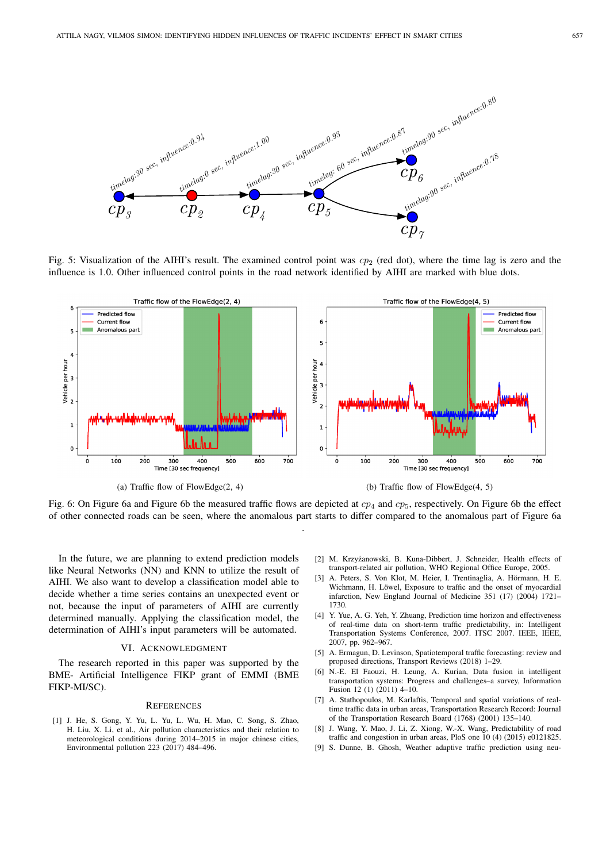

Fig. 5: Visualization of the AIHI's result. The examined control point was  $cp<sub>2</sub>$  (red dot), where the time lag is zero and the influence is 1.0. Other influenced control points in the road network identified by AIHI are marked with blue dots.



Fig. 6: On Figure 6a and Figure 6b the measured traffic flows are depicted at  $cp<sub>4</sub>$  and  $cp<sub>5</sub>$ , respectively. On Figure 6b the effect of other connected roads can be seen, where the anomalous part starts to differ compared to the anomalous part of Figure 6a .

In the future, we are planning to extend prediction models like Neural Networks (NN) and KNN to utilize the result of AIHI. We also want to develop a classification model able to decide whether a time series contains an unexpected event or not, because the input of parameters of AIHI are currently determined manually. Applying the classification model, the determination of AIHI's input parameters will be automated.

#### VI. ACKNOWLEDGMENT

The research reported in this paper was supported by the BME- Artificial Intelligence FIKP grant of EMMI (BME FIKP-MI/SC).

#### **REFERENCES**

[1] J. He, S. Gong, Y. Yu, L. Yu, L. Wu, H. Mao, C. Song, S. Zhao, H. Liu, X. Li, et al., Air pollution characteristics and their relation to meteorological conditions during 2014–2015 in major chinese cities, Environmental pollution 223 (2017) 484–496.

- [2] M. Krzyżanowski, B. Kuna-Dibbert, J. Schneider, Health effects of transport-related air pollution, WHO Regional Office Europe, 2005.
- [3] A. Peters, S. Von Klot, M. Heier, I. Trentinaglia, A. Hörmann, H. E. Wichmann, H. Löwel, Exposure to traffic and the onset of myocardial infarction, New England Journal of Medicine 351 (17) (2004) 1721– 1730.
- [4] Y. Yue, A. G. Yeh, Y. Zhuang, Prediction time horizon and effectiveness of real-time data on short-term traffic predictability, in: Intelligent Transportation Systems Conference, 2007. ITSC 2007. IEEE, IEEE, 2007, pp. 962–967.
- [5] A. Ermagun, D. Levinson, Spatiotemporal traffic forecasting: review and proposed directions, Transport Reviews (2018) 1–29.
- [6] N.-E. El Faouzi, H. Leung, A. Kurian, Data fusion in intelligent transportation systems: Progress and challenges–a survey, Information Fusion 12 (1) (2011) 4-10.
- [7] A. Stathopoulos, M. Karlaftis, Temporal and spatial variations of realtime traffic data in urban areas, Transportation Research Record: Journal of the Transportation Research Board (1768) (2001) 135–140.
- [8] J. Wang, Y. Mao, J. Li, Z. Xiong, W.-X. Wang, Predictability of road traffic and congestion in urban areas, PloS one 10 (4) (2015) e0121825.
- [9] S. Dunne, B. Ghosh, Weather adaptive traffic prediction using neu-